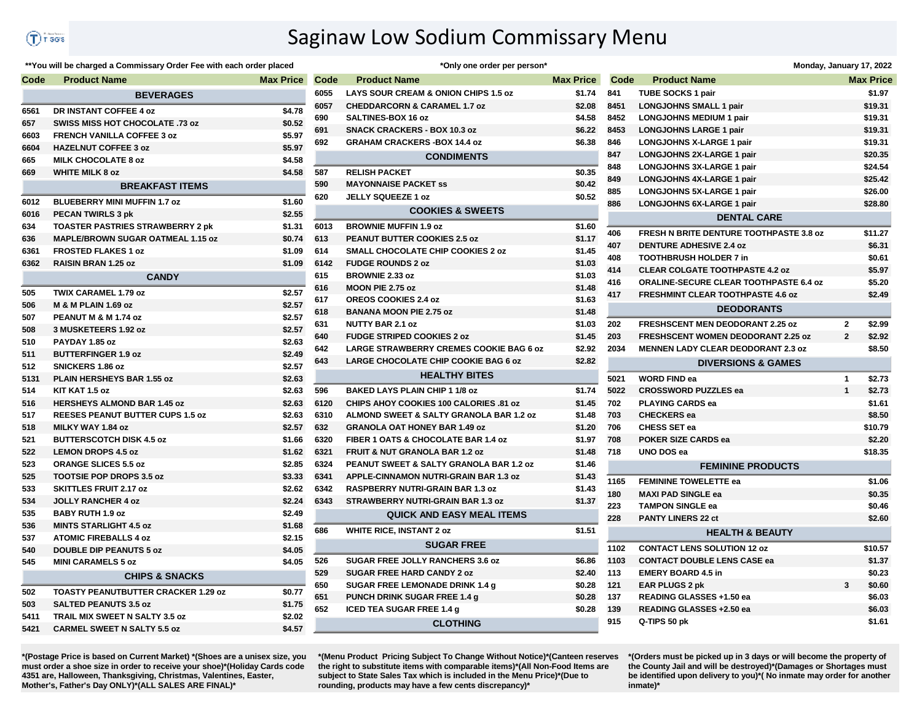## Saginaw Low Sodium Commissary Menu

## \*\*You will be charged a Commissary Order Fee with each order placed

| Code | <b>Product Name</b>                        | <b>Max Price</b> | Code | <b>Product Name</b>                            | <b>Max Price</b> | Code | <b>Product Name</b>                            |                | <b>Max Price</b> |
|------|--------------------------------------------|------------------|------|------------------------------------------------|------------------|------|------------------------------------------------|----------------|------------------|
|      | <b>BEVERAGES</b>                           |                  | 6055 | LAYS SOUR CREAM & ONION CHIPS 1.5 oz           | \$1.74           | 841  | <b>TUBE SOCKS 1 pair</b>                       |                | \$1.97           |
| 6561 | DR INSTANT COFFEE 4 oz                     | \$4.78           | 6057 | <b>CHEDDARCORN &amp; CARAMEL 1.7 oz</b>        | \$2.08           | 8451 | <b>LONGJOHNS SMALL 1 pair</b>                  |                | \$19.31          |
| 657  | <b>SWISS MISS HOT CHOCOLATE .73 oz</b>     | \$0.52           | 690  | SALTINES-BOX 16 oz                             | \$4.58           | 8452 | <b>LONGJOHNS MEDIUM 1 pair</b>                 |                | \$19.31          |
| 6603 | <b>FRENCH VANILLA COFFEE 3 oz</b>          | \$5.97           | 691  | <b>SNACK CRACKERS - BOX 10.3 oz</b>            | \$6.22           | 8453 | <b>LONGJOHNS LARGE 1 pair</b>                  |                | \$19.31          |
| 6604 | <b>HAZELNUT COFFEE 3 oz</b>                | \$5.97           | 692  | <b>GRAHAM CRACKERS - BOX 14.4 oz</b>           | \$6.38           | 846  | <b>LONGJOHNS X-LARGE 1 pair</b>                |                | \$19.31          |
| 665  | <b>MILK CHOCOLATE 8 oz</b>                 | \$4.58           |      | <b>CONDIMENTS</b>                              |                  | 847  | LONGJOHNS 2X-LARGE 1 pair                      |                | \$20.35          |
| 669  | <b>WHITE MILK 8 oz</b>                     | \$4.58           | 587  | <b>RELISH PACKET</b>                           | \$0.35           | 848  | LONGJOHNS 3X-LARGE 1 pair                      |                | \$24.54          |
|      | <b>BREAKFAST ITEMS</b>                     |                  | 590  | <b>MAYONNAISE PACKET SS</b>                    | \$0.42           | 849  | LONGJOHNS 4X-LARGE 1 pair                      |                | \$25.42          |
|      |                                            |                  | 620  | <b>JELLY SQUEEZE 1 oz</b>                      | \$0.52           | 885  | LONGJOHNS 5X-LARGE 1 pair                      |                | \$26.00          |
| 6012 | BLUEBERRY MINI MUFFIN 1.7 oz               | \$1.60           |      | <b>COOKIES &amp; SWEETS</b>                    |                  | 886  | LONGJOHNS 6X-LARGE 1 pair                      |                | \$28.80          |
| 6016 | <b>PECAN TWIRLS 3 pk</b>                   | \$2.55           |      |                                                |                  |      | <b>DENTAL CARE</b>                             |                |                  |
| 634  | <b>TOASTER PASTRIES STRAWBERRY 2 pk</b>    | \$1.31           | 6013 | <b>BROWNIE MUFFIN 1.9 oz</b>                   | \$1.60           | 406  | <b>FRESH N BRITE DENTURE TOOTHPASTE 3.8 oz</b> |                | \$11.27          |
| 636  | <b>MAPLE/BROWN SUGAR OATMEAL 1.15 oz</b>   | \$0.74           | 613  | <b>PEANUT BUTTER COOKIES 2.5 oz</b>            | \$1.17           | 407  | <b>DENTURE ADHESIVE 2.4 oz</b>                 |                | \$6.31           |
| 6361 | <b>FROSTED FLAKES 1 oz</b>                 | \$1.09           | 614  | <b>SMALL CHOCOLATE CHIP COOKIES 2 oz</b>       | \$1.45           | 408  | <b>TOOTHBRUSH HOLDER 7 in</b>                  |                | \$0.61           |
| 6362 | <b>RAISIN BRAN 1.25 oz</b>                 | \$1.09           | 6142 | <b>FUDGE ROUNDS 2 oz</b>                       | \$1.03           | 414  | <b>CLEAR COLGATE TOOTHPASTE 4.2 oz</b>         |                | \$5.97           |
|      | <b>CANDY</b>                               |                  | 615  | <b>BROWNIE 2.33 oz</b>                         | \$1.03           | 416  | <b>ORALINE-SECURE CLEAR TOOTHPASTE 6.4 oz</b>  |                | \$5.20           |
| 505  | TWIX CARAMEL 1.79 oz                       | \$2.57           | 616  | MOON PIE 2.75 oz                               | \$1.48           | 417  | <b>FRESHMINT CLEAR TOOTHPASTE 4.6 oz</b>       |                | \$2.49           |
| 506  | <b>M &amp; M PLAIN 1.69 oz</b>             | \$2.57           | 617  | <b>OREOS COOKIES 2.4 oz</b>                    | \$1.63           |      | <b>DEODORANTS</b>                              |                |                  |
| 507  | PEANUT M & M 1.74 oz                       | \$2.57           | 618  | <b>BANANA MOON PIE 2.75 oz</b>                 | \$1.48           |      |                                                |                |                  |
| 508  | 3 MUSKETEERS 1.92 oz                       | \$2.57           | 631  | <b>NUTTY BAR 2.1 oz</b>                        | \$1.03           | 202  | <b>FRESHSCENT MEN DEODORANT 2.25 oz</b>        | $\overline{2}$ | \$2.99           |
| 510  | PAYDAY 1.85 oz                             | \$2.63           | 640  | <b>FUDGE STRIPED COOKIES 2 oz</b>              | \$1.45           | 203  | <b>FRESHSCENT WOMEN DEODORANT 2.25 oz</b>      | $\overline{2}$ | \$2.92           |
| 511  | <b>BUTTERFINGER 1.9 oz</b>                 | \$2.49           | 642  | <b>LARGE STRAWBERRY CREMES COOKIE BAG 6 oz</b> | \$2.92           | 2034 | <b>MENNEN LADY CLEAR DEODORANT 2.3 oz</b>      |                | \$8.50           |
| 512  | SNICKERS 1.86 oz                           | \$2.57           | 643  | <b>LARGE CHOCOLATE CHIP COOKIE BAG 6 oz</b>    | \$2.82           |      | <b>DIVERSIONS &amp; GAMES</b>                  |                |                  |
| 5131 | PLAIN HERSHEYS BAR 1.55 oz                 | \$2.63           |      | <b>HEALTHY BITES</b>                           |                  | 5021 | <b>WORD FIND ea</b>                            | $\mathbf{1}$   | \$2.73           |
| 514  | KIT KAT 1.5 oz                             | \$2.63           | 596  | <b>BAKED LAYS PLAIN CHIP 1 1/8 oz</b>          | \$1.74           | 5022 | <b>CROSSWORD PUZZLES ea</b>                    | $\mathbf{1}$   | \$2.73           |
| 516  | <b>HERSHEYS ALMOND BAR 1.45 oz</b>         | \$2.63           | 6120 | CHIPS AHOY COOKIES 100 CALORIES .81 oz         | \$1.45           | 702  | <b>PLAYING CARDS ea</b>                        |                | \$1.61           |
| 517  | <b>REESES PEANUT BUTTER CUPS 1.5 oz</b>    | \$2.63           | 6310 | ALMOND SWEET & SALTY GRANOLA BAR 1.2 oz        | \$1.48           | 703  | <b>CHECKERS</b> ea                             |                | \$8.50           |
| 518  | MILKY WAY 1.84 oz                          | \$2.57           | 632  | <b>GRANOLA OAT HONEY BAR 1.49 oz</b>           | \$1.20           | 706  | <b>CHESS SET ea</b>                            |                | \$10.79          |
| 521  | <b>BUTTERSCOTCH DISK 4.5 oz</b>            | \$1.66           | 6320 | FIBER 1 OATS & CHOCOLATE BAR 1.4 oz            | \$1.97           | 708  | POKER SIZE CARDS ea                            |                | \$2.20           |
| 522  | <b>LEMON DROPS 4.5 oz</b>                  | \$1.62           | 6321 | <b>FRUIT &amp; NUT GRANOLA BAR 1.2 oz</b>      | \$1.48           | 718  | UNO DOS ea                                     |                | \$18.35          |
| 523  | <b>ORANGE SLICES 5.5 oz</b>                | \$2.85           | 6324 | PEANUT SWEET & SALTY GRANOLA BAR 1.2 oz        | \$1.46           |      | <b>FEMININE PRODUCTS</b>                       |                |                  |
| 525  | <b>TOOTSIE POP DROPS 3.5 oz</b>            | \$3.33           | 6341 | APPLE-CINNAMON NUTRI-GRAIN BAR 1.3 oz          | \$1.43           |      |                                                |                |                  |
| 533  | <b>SKITTLES FRUIT 2.17 oz</b>              | \$2.62           | 6342 | <b>RASPBERRY NUTRI-GRAIN BAR 1.3 oz</b>        | \$1.43           | 1165 | <b>FEMININE TOWELETTE ea</b>                   |                | \$1.06           |
| 534  | <b>JOLLY RANCHER 4 oz</b>                  | \$2.24           | 6343 | STRAWBERRY NUTRI-GRAIN BAR 1.3 oz              | \$1.37           | 180  | <b>MAXI PAD SINGLE ea</b>                      |                | \$0.35           |
| 535  | <b>BABY RUTH 1.9 oz</b>                    | \$2.49           |      | <b>QUICK AND EASY MEAL ITEMS</b>               |                  | 223  | <b>TAMPON SINGLE ea</b>                        |                | \$0.46           |
| 536  | <b>MINTS STARLIGHT 4.5 oz</b>              | \$1.68           |      |                                                |                  | 228  | <b>PANTY LINERS 22 ct</b>                      |                | \$2.60           |
| 537  | <b>ATOMIC FIREBALLS 4 oz</b>               | \$2.15           | 686  | <b>WHITE RICE, INSTANT 2 oz</b>                | \$1.51           |      | <b>HEALTH &amp; BEAUTY</b>                     |                |                  |
| 540  | <b>DOUBLE DIP PEANUTS 5 oz</b>             | \$4.05           |      | <b>SUGAR FREE</b>                              |                  | 1102 | <b>CONTACT LENS SOLUTION 12 oz</b>             |                | \$10.57          |
| 545  | <b>MINI CARAMELS 5 oz</b>                  | \$4.05           | 526  | SUGAR FREE JOLLY RANCHERS 3.6 oz               | \$6.86           | 1103 | <b>CONTACT DOUBLE LENS CASE ea</b>             |                | \$1.37           |
|      | <b>CHIPS &amp; SNACKS</b>                  |                  | 529  | <b>SUGAR FREE HARD CANDY 2 oz</b>              | \$2.40           | 113  | <b>EMERY BOARD 4.5 in</b>                      |                | \$0.23           |
|      |                                            |                  | 650  | SUGAR FREE LEMONADE DRINK 1.4 g                | \$0.28           | 121  | <b>EAR PLUGS 2 pk</b>                          | $\mathbf{3}$   | \$0.60           |
| 502  | <b>TOASTY PEANUTBUTTER CRACKER 1.29 oz</b> | \$0.77           | 651  | <b>PUNCH DRINK SUGAR FREE 1.4 g</b>            | \$0.28           | 137  | READING GLASSES +1.50 ea                       |                | \$6.03           |
| 503  | <b>SALTED PEANUTS 3.5 oz</b>               | \$1.75           | 652  | <b>ICED TEA SUGAR FREE 1.4 g</b>               | \$0.28           | 139  | READING GLASSES +2.50 ea                       |                | \$6.03           |
| 5411 | TRAIL MIX SWEET N SALTY 3.5 oz             | \$2.02           |      | <b>CLOTHING</b>                                |                  | 915  | Q-TIPS 50 pk                                   |                | \$1.61           |
| 5421 | <b>CARMEL SWEET N SALTY 5.5 oz</b>         | \$4.57           |      |                                                |                  |      |                                                |                |                  |

|      | "Only one order per person"                        |                  |
|------|----------------------------------------------------|------------------|
| Code | <b>Product Name</b>                                | <b>Max Price</b> |
| 6055 | LAYS SOUR CREAM & ONION CHIPS 1.5 oz               | \$1.74           |
| 6057 | <b>CHEDDARCORN &amp; CARAMEL 1.7 oz</b>            | \$2.08           |
| 690  | SALTINES-BOX 16 oz                                 | \$4.58           |
| 691  | <b>SNACK CRACKERS - BOX 10.3 oz</b>                | \$6.22           |
| 692  | <b>GRAHAM CRACKERS - BOX 14.4 oz</b>               | \$6.38           |
|      | <b>CONDIMENTS</b>                                  |                  |
| 587  | <b>RELISH PACKET</b>                               | \$0.35           |
| 590  | <b>MAYONNAISE PACKET SS</b>                        | \$0.42           |
| 620  | <b>JELLY SQUEEZE 1 oz</b>                          | \$0.52           |
|      | <b>COOKIES &amp; SWEETS</b>                        |                  |
| 6013 | <b>BROWNIE MUFFIN 1.9 oz</b>                       | \$1.60           |
| 613  | <b>PEANUT BUTTER COOKIES 2.5 oz</b>                | \$1.17           |
| 614  | <b>SMALL CHOCOLATE CHIP COOKIES 2 oz</b>           | \$1.45           |
| 6142 | <b>FUDGE ROUNDS 2 oz</b>                           | \$1.03           |
| 615  | <b>BROWNIE 2.33 oz</b>                             | \$1.03           |
| 616  | MOON PIE 2.75 oz                                   | \$1.48           |
| 617  | <b>OREOS COOKIES 2.4 oz</b>                        | \$1.63           |
| 618  | <b>BANANA MOON PIE 2.75 oz</b>                     | \$1.48           |
| 631  | <b>NUTTY BAR 2.1 oz</b>                            | \$1.03           |
| 640  | <b>FUDGE STRIPED COOKIES 2 oz</b>                  | \$1.45           |
| 642  | <b>LARGE STRAWBERRY CREMES COOKIE BAG 6 oz</b>     | \$2.92           |
| 643  | <b>LARGE CHOCOLATE CHIP COOKIE BAG 6 oz</b>        | \$2.82           |
|      | <b>HEALTHY BITES</b>                               |                  |
| 596  | <b>BAKED LAYS PLAIN CHIP 1 1/8 oz</b>              | \$1.74           |
| 6120 | <b>CHIPS AHOY COOKIES 100 CALORIES .81 oz</b>      | \$1.45           |
| 6310 | <b>ALMOND SWEET &amp; SALTY GRANOLA BAR 1.2 oz</b> | \$1.48           |
| 632  | <b>GRANOLA OAT HONEY BAR 1.49 oz</b>               | \$1.20           |
| 6320 | FIBER 1 OATS & CHOCOLATE BAR 1.4 oz                | \$1.97           |
| 6321 | <b>FRUIT &amp; NUT GRANOLA BAR 1.2 oz</b>          | \$1.48           |
| 6324 | <b>PEANUT SWEET &amp; SALTY GRANOLA BAR 1.2 oz</b> | \$1.46           |
| 6341 | <b>APPLE-CINNAMON NUTRI-GRAIN BAR 1.3 oz</b>       | \$1.43           |
| 6342 | RASPBERRY NUTRI-GRAIN BAR 1.3 oz                   | \$1.43           |
| 6343 | STRAWBERRY NUTRI-GRAIN BAR 1.3 oz                  | \$1.37           |
|      | <b>QUICK AND EASY MEAL ITEMS</b>                   |                  |
| 686  | <b>WHITE RICE, INSTANT 2 oz</b>                    | \$1.51           |
|      | <b>SUGAR FREE</b>                                  |                  |
| 526  | <b>SUGAR FREE JOLLY RANCHERS 3.6 oz</b>            | \$6.86           |
| 529  | <b>SUGAR FREE HARD CANDY 2 oz</b>                  | \$2.40           |
| 650  | SUGAR FREE LEMONADE DRINK 1.4 g                    | \$0.28           |
| 651  | PUNCH DRINK SUGAR FREE 1.4 g                       | \$0.28           |
| 652  | <b>ICED TEA SUGAR FREE 1.4 g</b>                   | \$0.28           |
|      | <b>CLOTHING</b>                                    |                  |
|      |                                                    |                  |

|      |                                                | Monday, January 17, 2022 |
|------|------------------------------------------------|--------------------------|
| Code | <b>Product Name</b>                            | <b>Max Price</b>         |
| 841  | <b>TUBE SOCKS 1 pair</b>                       | \$1.97                   |
| 8451 | <b>LONGJOHNS SMALL 1 pair</b>                  | \$19.31                  |
| 8452 | <b>LONGJOHNS MEDIUM 1 pair</b>                 | \$19.31                  |
| 8453 | <b>LONGJOHNS LARGE 1 pair</b>                  | \$19.31                  |
| 846  | <b>LONGJOHNS X-LARGE 1 pair</b>                | \$19.31                  |
| 847  | <b>LONGJOHNS 2X-LARGE 1 pair</b>               | \$20.35                  |
| 848  | LONGJOHNS 3X-LARGE 1 pair                      | \$24.54                  |
| 849  | LONGJOHNS 4X-LARGE 1 pair                      | \$25.42                  |
| 885  | LONGJOHNS 5X-LARGE 1 pair                      | \$26.00                  |
| 886  | LONGJOHNS 6X-LARGE 1 pair                      | \$28.80                  |
|      | <b>DENTAL CARE</b>                             |                          |
| 406  | <b>FRESH N BRITE DENTURE TOOTHPASTE 3.8 oz</b> | \$11.27                  |
| 407  | <b>DENTURE ADHESIVE 2.4 oz</b>                 | \$6.31                   |
| 408  | <b>TOOTHBRUSH HOLDER 7 in</b>                  | \$0.61                   |
| 414  | <b>CLEAR COLGATE TOOTHPASTE 4.2 oz</b>         | \$5.97                   |
| 416  | <b>ORALINE-SECURE CLEAR TOOTHPASTE 6.4 oz</b>  | \$5.20                   |
| 417  | <b>FRESHMINT CLEAR TOOTHPASTE 4.6 oz</b>       | \$2.49                   |
|      | <b>DEODORANTS</b>                              |                          |
| 202  | <b>FRESHSCENT MEN DEODORANT 2.25 oz</b>        | $\mathbf{2}$<br>\$2.99   |
| 203  | FRESHSCENT WOMEN DEODORANT 2.25 oz             | $\overline{2}$<br>\$2.92 |
| 2034 | <b>MENNEN LADY CLEAR DEODORANT 2.3 oz</b>      | \$8.50                   |
|      | <b>DIVERSIONS &amp; GAMES</b>                  |                          |
| 5021 | <b>WORD FIND ea</b>                            | 1<br>\$2.73              |
| 5022 | <b>CROSSWORD PUZZLES ea</b>                    | 1<br>\$2.73              |
| 702  | <b>PLAYING CARDS ea</b>                        | \$1.61                   |
| 703  | <b>CHECKERS</b> ea                             | \$8.50                   |
| 706  | <b>CHESS SET ea</b>                            | \$10.79                  |
| 708  | POKER SIZE CARDS ea                            | \$2.20                   |
| 718  | UNO DOS ea                                     | \$18.35                  |
|      | <b>FEMININE PRODUCTS</b>                       |                          |
| 1165 | <b>FEMININE TOWELETTE ea</b>                   | \$1.06                   |
| 180  | <b>MAXI PAD SINGLE ea</b>                      | \$0.35                   |
| 223  | <b>TAMPON SINGLE ea</b>                        | \$0.46                   |
| 228  | <b>PANTY LINERS 22 ct</b>                      | \$2.60                   |
|      | <b>HEALTH &amp; BEAUTY</b>                     |                          |
| 1102 | <b>CONTACT LENS SOLUTION 12 oz</b>             | \$10.57                  |
| 1103 | <b>CONTACT DOUBLE LENS CASE ea</b>             | \$1.37                   |
| 113  | <b>EMERY BOARD 4.5 in</b>                      | \$0.23                   |
| 121  | <b>EAR PLUGS 2 pk</b>                          | 3<br>\$0.60              |
| 137  | READING GLASSES +1.50 ea                       | \$6.03                   |
| 139  | READING GLASSES +2.50 ea                       | \$6.03                   |
| 915  | Q-TIPS 50 pk                                   | \$1.61                   |

**\*(Postage Price is based on Current Market) \*(Shoes are a unisex size, you must order a shoe size in order to receive your shoe)\*(Holiday Cards code 4351 are, Halloween, Thanksgiving, Christmas, Valentines, Easter, Mother's, Father's Day ONLY)\*(ALL SALES ARE FINAL)\***

**\*(Menu Product Pricing Subject To Change Without Notice)\*(Canteen reserves the right to substitute items with comparable items)\*(All Non-Food Items are subject to State Sales Tax which is included in the Menu Price)\*(Due to rounding, products may have a few cents discrepancy)\*** 

**\*(Orders must be picked up in 3 days or will become the property of the County Jail and will be destroyed)\*(Damages or Shortages must be identified upon delivery to you)\*( No inmate may order for another inmate)\***